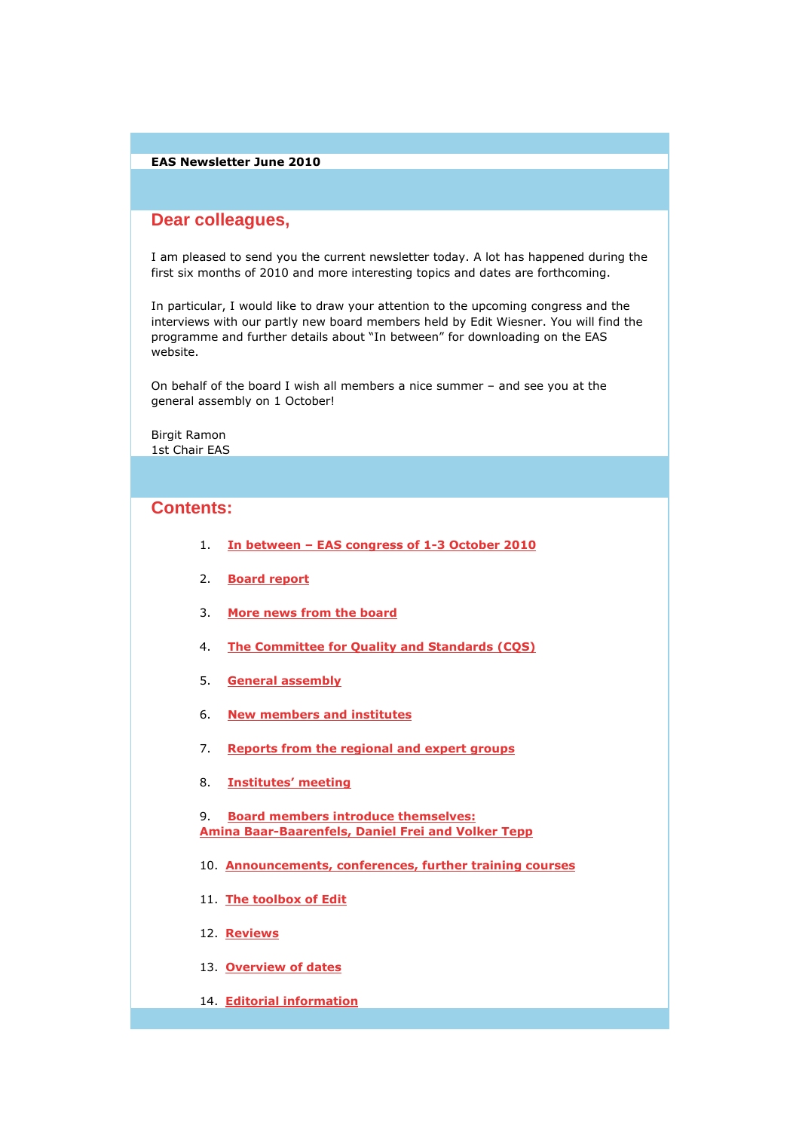### EAS Newsletter June 2010

# **Dear colleagues,**

I am pleased to send you the current newsletter today. A lot has happened during the first six months of 2010 and more interesting topics and dates are forthcoming.

In particular, I would like to draw your attention to the upcoming congress and the interviews with our partly new board members held by Edit Wiesner. You will find the programme and further details about "In between" for downloading on the EAS website.

On behalf of the board I wish all members a nice summer – and see you at the general assembly on 1 October!

Birgit Ramon 1st Chair EAS

## **Contents:**

- 1. In between EAS congress of 1-3 October 2010
- 2. Board report
- 3. More news from the board
- 4. The Committee for Quality and Standards (CQS)
- 5. General assembly
- 6. New members and institutes
- 7. Reports from the regional and expert groups
- 8. Institutes' meeting

9. Board members introduce themselves: Amina Baar-Baarenfels, Daniel Frei and Volker Tepp

- 10. Announcements, conferences, further training courses
- 11. The toolbox of Edit
- 12. Reviews
- 13. Overview of dates
- 14. Editorial information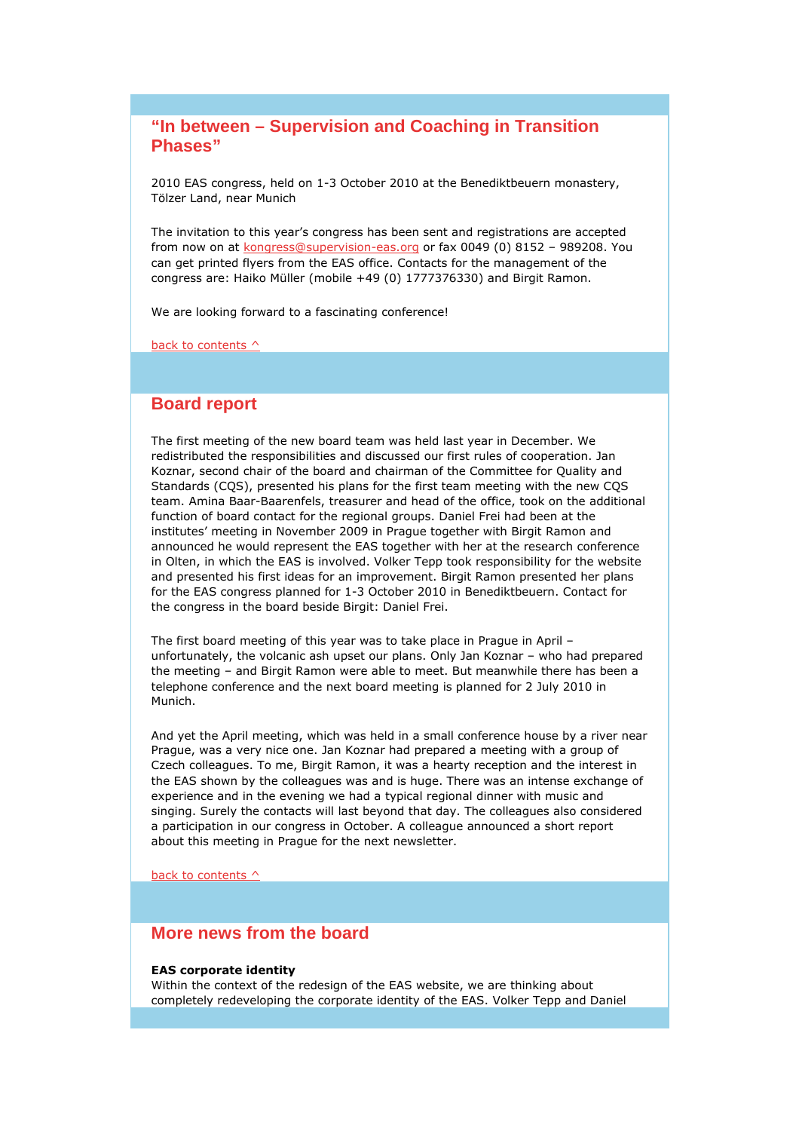# **"In between – Supervision and Coaching in Transition Phases"**

2010 EAS congress, held on 1-3 October 2010 at the Benediktbeuern monastery, Tölzer Land, near Munich

The invitation to this year's congress has been sent and registrations are accepted from now on at kongress@supervision-eas.org or fax 0049 (0) 8152 – 989208. You can get printed flyers from the EAS office. Contacts for the management of the congress are: Haiko Müller (mobile +49 (0) 1777376330) and Birgit Ramon.

We are looking forward to a fascinating conference!

back to contents ^

### **Board report**

The first meeting of the new board team was held last year in December. We redistributed the responsibilities and discussed our first rules of cooperation. Jan Koznar, second chair of the board and chairman of the Committee for Quality and Standards (CQS), presented his plans for the first team meeting with the new CQS team. Amina Baar-Baarenfels, treasurer and head of the office, took on the additional function of board contact for the regional groups. Daniel Frei had been at the institutes' meeting in November 2009 in Prague together with Birgit Ramon and announced he would represent the EAS together with her at the research conference in Olten, in which the EAS is involved. Volker Tepp took responsibility for the website and presented his first ideas for an improvement. Birgit Ramon presented her plans for the EAS congress planned for 1-3 October 2010 in Benediktbeuern. Contact for the congress in the board beside Birgit: Daniel Frei.

The first board meeting of this year was to take place in Prague in April – unfortunately, the volcanic ash upset our plans. Only Jan Koznar – who had prepared the meeting – and Birgit Ramon were able to meet. But meanwhile there has been a telephone conference and the next board meeting is planned for 2 July 2010 in Munich.

And yet the April meeting, which was held in a small conference house by a river near Prague, was a very nice one. Jan Koznar had prepared a meeting with a group of Czech colleagues. To me, Birgit Ramon, it was a hearty reception and the interest in the EAS shown by the colleagues was and is huge. There was an intense exchange of experience and in the evening we had a typical regional dinner with music and singing. Surely the contacts will last beyond that day. The colleagues also considered a participation in our congress in October. A colleague announced a short report about this meeting in Prague for the next newsletter.

back to contents  $\wedge$ 

## **More news from the board**

#### EAS corporate identity

Within the context of the redesign of the EAS website, we are thinking about completely redeveloping the corporate identity of the EAS. Volker Tepp and Daniel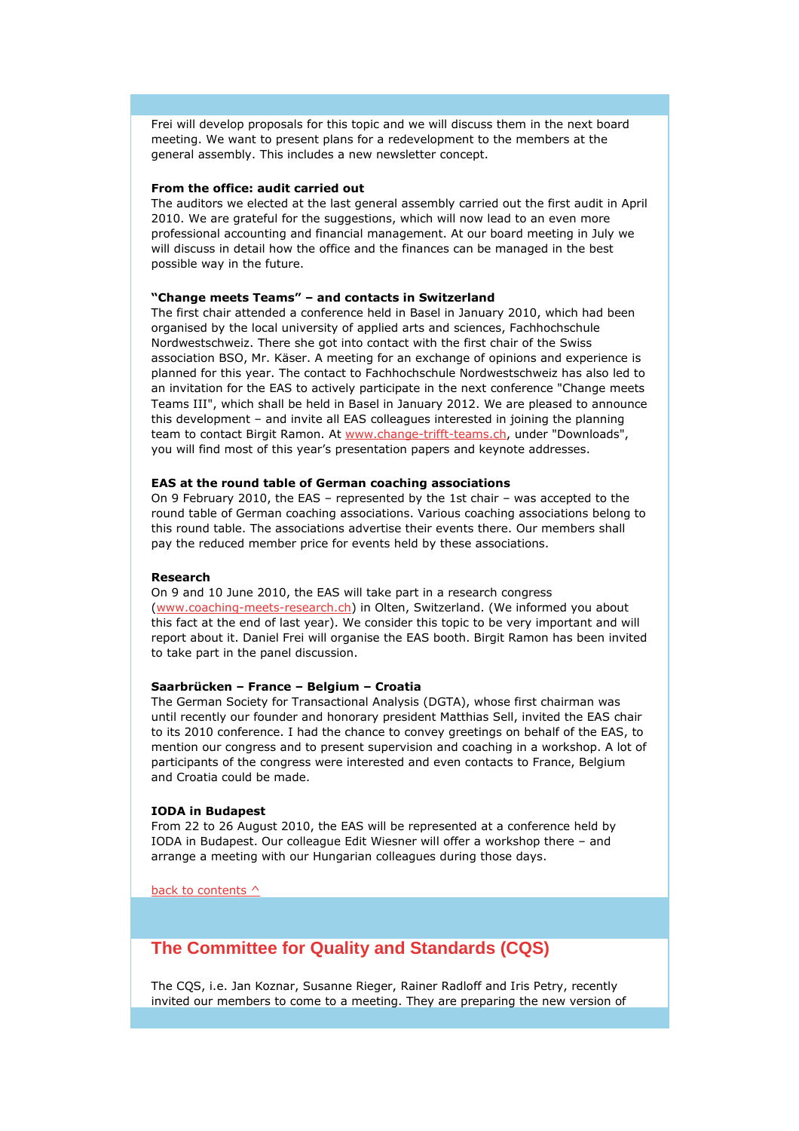Frei will develop proposals for this topic and we will discuss them in the next board meeting. We want to present plans for a redevelopment to the members at the general assembly. This includes a new newsletter concept.

#### From the office: audit carried out

The auditors we elected at the last general assembly carried out the first audit in April 2010. We are grateful for the suggestions, which will now lead to an even more professional accounting and financial management. At our board meeting in July we will discuss in detail how the office and the finances can be managed in the best possible way in the future.

#### "Change meets Teams" – and contacts in Switzerland

The first chair attended a conference held in Basel in January 2010, which had been organised by the local university of applied arts and sciences, Fachhochschule Nordwestschweiz. There she got into contact with the first chair of the Swiss association BSO, Mr. Käser. A meeting for an exchange of opinions and experience is planned for this year. The contact to Fachhochschule Nordwestschweiz has also led to an invitation for the EAS to actively participate in the next conference "Change meets Teams III", which shall be held in Basel in January 2012. We are pleased to announce this development – and invite all EAS colleagues interested in joining the planning team to contact Birgit Ramon. At www.change-trifft-teams.ch, under "Downloads", you will find most of this year's presentation papers and keynote addresses.

#### EAS at the round table of German coaching associations

On 9 February 2010, the EAS – represented by the 1st chair – was accepted to the round table of German coaching associations. Various coaching associations belong to this round table. The associations advertise their events there. Our members shall pay the reduced member price for events held by these associations.

#### Research

On 9 and 10 June 2010, the EAS will take part in a research congress (www.coaching-meets-research.ch) in Olten, Switzerland. (We informed you about this fact at the end of last year). We consider this topic to be very important and will report about it. Daniel Frei will organise the EAS booth. Birgit Ramon has been invited to take part in the panel discussion.

#### Saarbrücken – France – Belgium – Croatia

The German Society for Transactional Analysis (DGTA), whose first chairman was until recently our founder and honorary president Matthias Sell, invited the EAS chair to its 2010 conference. I had the chance to convey greetings on behalf of the EAS, to mention our congress and to present supervision and coaching in a workshop. A lot of participants of the congress were interested and even contacts to France, Belgium and Croatia could be made.

#### IODA in Budapest

From 22 to 26 August 2010, the EAS will be represented at a conference held by IODA in Budapest. Our colleague Edit Wiesner will offer a workshop there – and arrange a meeting with our Hungarian colleagues during those days.

back to contents  $\wedge$ 

# **The Committee for Quality and Standards (CQS)**

The CQS, i.e. Jan Koznar, Susanne Rieger, Rainer Radloff and Iris Petry, recently invited our members to come to a meeting. They are preparing the new version of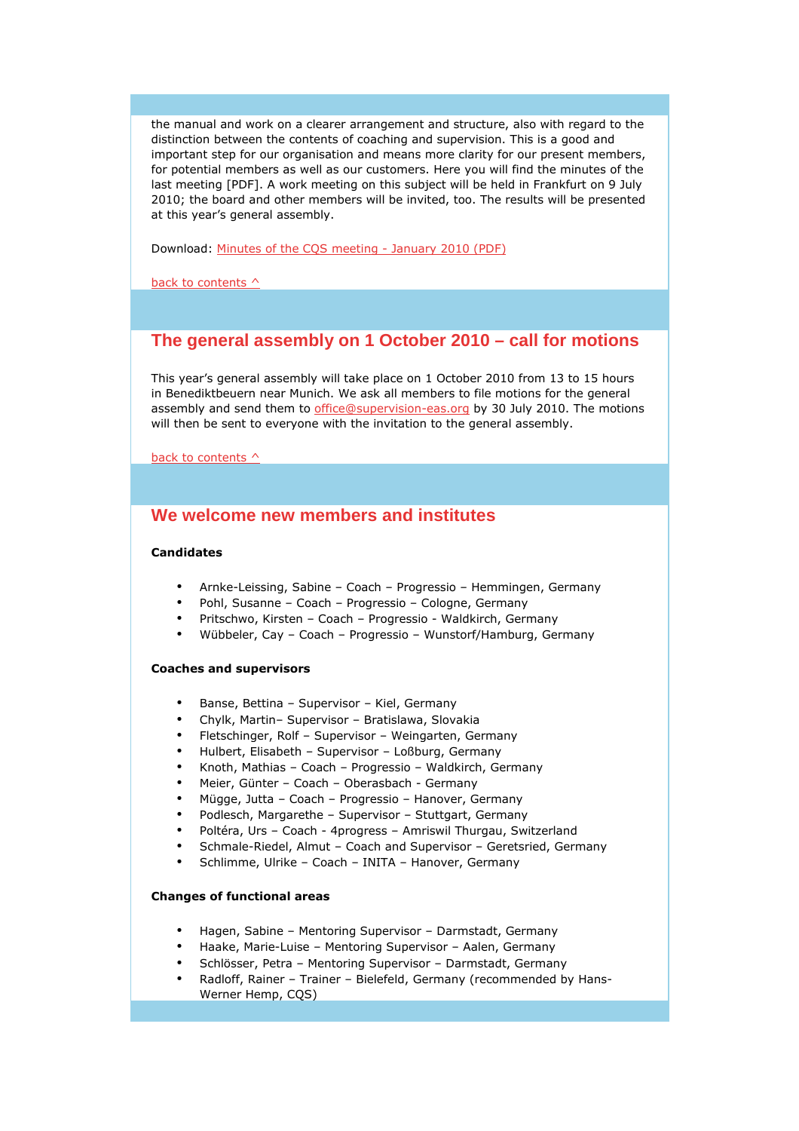the manual and work on a clearer arrangement and structure, also with regard to the distinction between the contents of coaching and supervision. This is a good and important step for our organisation and means more clarity for our present members, for potential members as well as our customers. Here you will find the minutes of the last meeting [PDF]. A work meeting on this subject will be held in Frankfurt on 9 July 2010; the board and other members will be invited, too. The results will be presented at this year's general assembly.

Download: Minutes of the CQS meeting - January 2010 (PDF)

back to contents  $\wedge$ 

## **The general assembly on 1 October 2010 – call for motions**

This year's general assembly will take place on 1 October 2010 from 13 to 15 hours in Benediktbeuern near Munich. We ask all members to file motions for the general assembly and send them to office@supervision-eas.org by 30 July 2010. The motions will then be sent to everyone with the invitation to the general assembly.

back to contents  $\wedge$ 

# **We welcome new members and institutes**

### Candidates

- Arnke-Leissing, Sabine Coach Progressio Hemmingen, Germany
- Pohl, Susanne Coach Progressio Cologne, Germany
- Pritschwo, Kirsten Coach Progressio Waldkirch, Germany
- Wübbeler, Cay Coach Progressio Wunstorf/Hamburg, Germany

#### Coaches and supervisors

- Banse, Bettina Supervisor Kiel, Germany
- Chylk, Martin– Supervisor Bratislawa, Slovakia
- Fletschinger, Rolf Supervisor Weingarten, Germany
- Hulbert, Elisabeth Supervisor Loßburg, Germany
- Knoth, Mathias Coach Progressio Waldkirch, Germany
- Meier, Günter Coach Oberasbach Germany
- Mügge, Jutta Coach Progressio Hanover, Germany
- Podlesch, Margarethe Supervisor Stuttgart, Germany
- Poltéra, Urs Coach 4progress Amriswil Thurgau, Switzerland
- Schmale-Riedel, Almut Coach and Supervisor Geretsried, Germany
- Schlimme, Ulrike Coach INITA Hanover, Germany

### Changes of functional areas

- Hagen, Sabine Mentoring Supervisor Darmstadt, Germany
- Haake, Marie-Luise Mentoring Supervisor Aalen, Germany
- Schlösser, Petra Mentoring Supervisor Darmstadt, Germany
- Radloff, Rainer Trainer Bielefeld, Germany (recommended by Hans-Werner Hemp, CQS)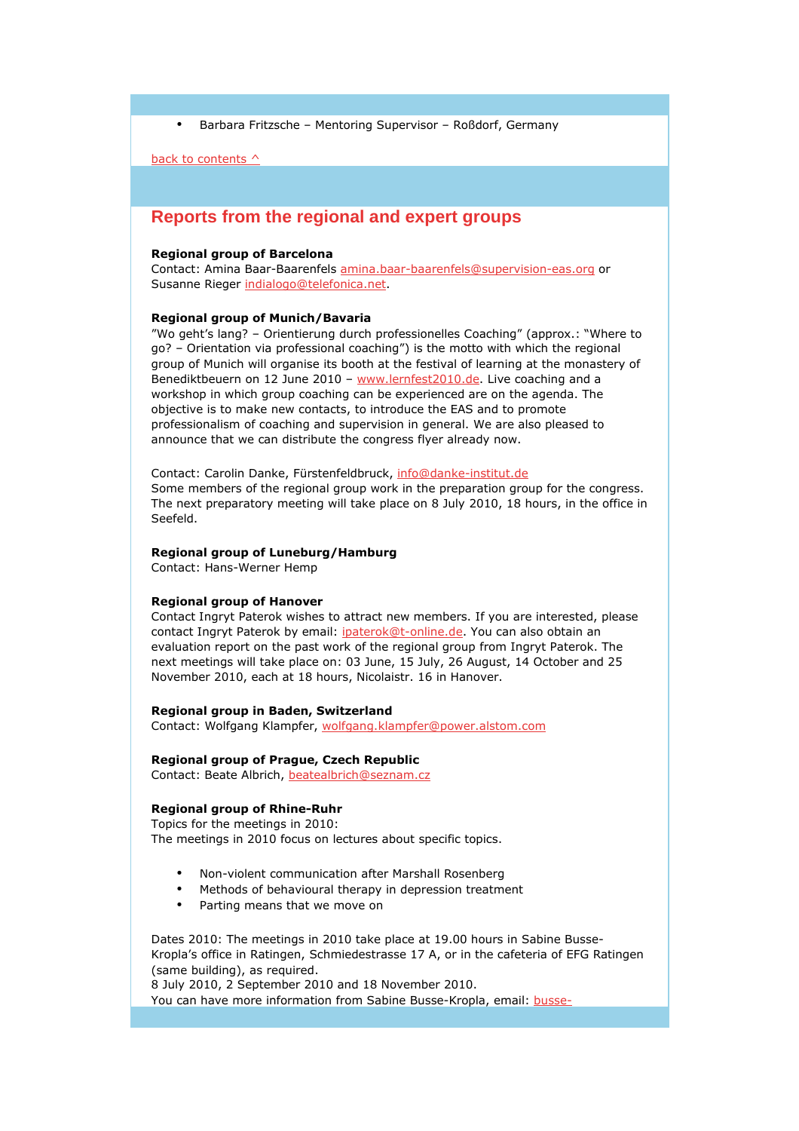• Barbara Fritzsche – Mentoring Supervisor – Roßdorf, Germany

back to contents  $\wedge$ 

## **Reports from the regional and expert groups**

#### Regional group of Barcelona

Contact: Amina Baar-Baarenfels amina.baar-baarenfels@supervision-eas.org or Susanne Rieger indialogo@telefonica.net.

#### Regional group of Munich/Bavaria

"Wo geht's lang? – Orientierung durch professionelles Coaching" (approx.: "Where to go? – Orientation via professional coaching") is the motto with which the regional group of Munich will organise its booth at the festival of learning at the monastery of Benediktbeuern on 12 June 2010 - www.lernfest2010.de. Live coaching and a workshop in which group coaching can be experienced are on the agenda. The objective is to make new contacts, to introduce the EAS and to promote professionalism of coaching and supervision in general. We are also pleased to announce that we can distribute the congress flyer already now.

Contact: Carolin Danke, Fürstenfeldbruck, info@danke-institut.de Some members of the regional group work in the preparation group for the congress. The next preparatory meeting will take place on 8 July 2010, 18 hours, in the office in Seefeld.

#### Regional group of Luneburg/Hamburg

Contact: Hans-Werner Hemp

#### Regional group of Hanover

Contact Ingryt Paterok wishes to attract new members. If you are interested, please contact Ingryt Paterok by email: ipaterok@t-online.de. You can also obtain an evaluation report on the past work of the regional group from Ingryt Paterok. The next meetings will take place on: 03 June, 15 July, 26 August, 14 October and 25 November 2010, each at 18 hours, Nicolaistr. 16 in Hanover.

#### Regional group in Baden, Switzerland

Contact: Wolfgang Klampfer, wolfgang.klampfer@power.alstom.com

#### Regional group of Prague, Czech Republic

Contact: Beate Albrich, beatealbrich@seznam.cz

#### Regional group of Rhine-Ruhr

Topics for the meetings in 2010: The meetings in 2010 focus on lectures about specific topics.

- Non-violent communication after Marshall Rosenberg
- Methods of behavioural therapy in depression treatment
- Parting means that we move on

Dates 2010: The meetings in 2010 take place at 19.00 hours in Sabine Busse-Kropla's office in Ratingen, Schmiedestrasse 17 A, or in the cafeteria of EFG Ratingen (same building), as required.

8 July 2010, 2 September 2010 and 18 November 2010.

You can have more information from Sabine Busse-Kropla, email: **busse-**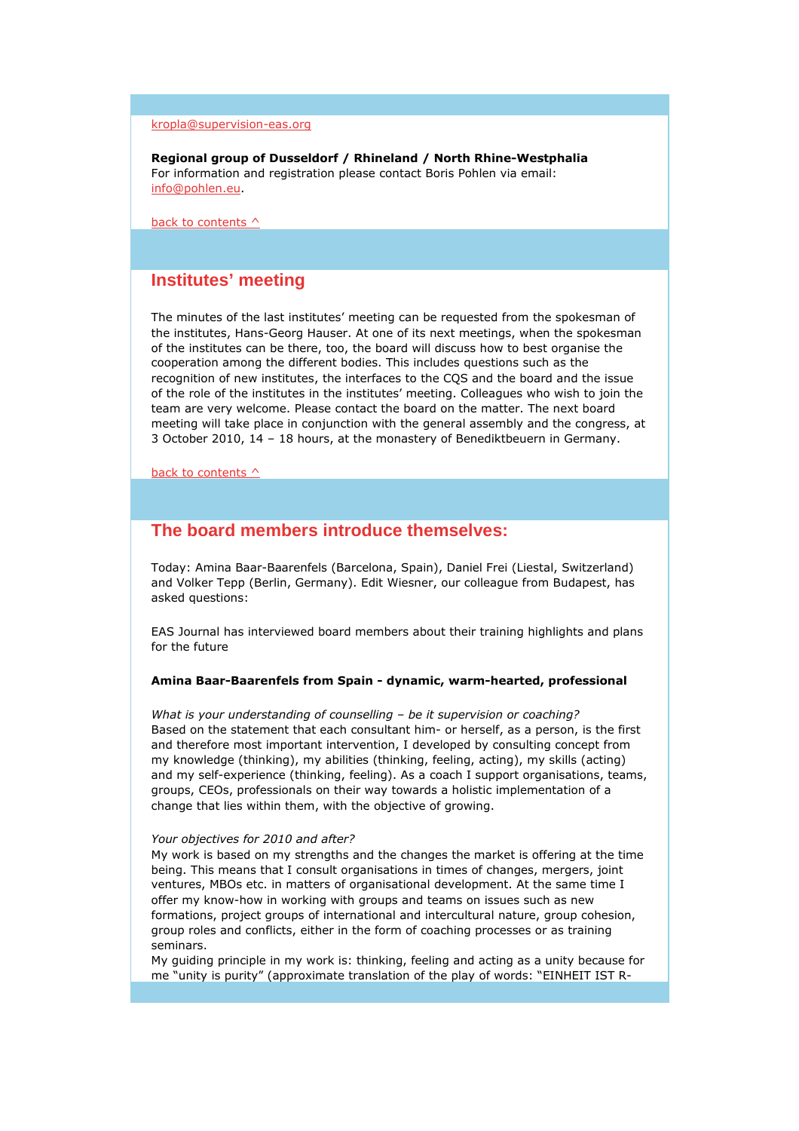### kropla@supervision-eas.org

Regional group of Dusseldorf / Rhineland / North Rhine-Westphalia For information and registration please contact Boris Pohlen via email: info@pohlen.eu.

back to contents  $\wedge$ 

## **Institutes' meeting**

The minutes of the last institutes' meeting can be requested from the spokesman of the institutes, Hans-Georg Hauser. At one of its next meetings, when the spokesman of the institutes can be there, too, the board will discuss how to best organise the cooperation among the different bodies. This includes questions such as the recognition of new institutes, the interfaces to the CQS and the board and the issue of the role of the institutes in the institutes' meeting. Colleagues who wish to join the team are very welcome. Please contact the board on the matter. The next board meeting will take place in conjunction with the general assembly and the congress, at 3 October 2010, 14 – 18 hours, at the monastery of Benediktbeuern in Germany.

back to contents  $\wedge$ 

## **The board members introduce themselves:**

Today: Amina Baar-Baarenfels (Barcelona, Spain), Daniel Frei (Liestal, Switzerland) and Volker Tepp (Berlin, Germany). Edit Wiesner, our colleague from Budapest, has asked questions:

EAS Journal has interviewed board members about their training highlights and plans for the future

#### Amina Baar-Baarenfels from Spain - dynamic, warm-hearted, professional

What is your understanding of counselling - be it supervision or coaching? Based on the statement that each consultant him- or herself, as a person, is the first and therefore most important intervention, I developed by consulting concept from my knowledge (thinking), my abilities (thinking, feeling, acting), my skills (acting) and my self-experience (thinking, feeling). As a coach I support organisations, teams, groups, CEOs, professionals on their way towards a holistic implementation of a change that lies within them, with the objective of growing.

#### Your objectives for 2010 and after?

My work is based on my strengths and the changes the market is offering at the time being. This means that I consult organisations in times of changes, mergers, joint ventures, MBOs etc. in matters of organisational development. At the same time I offer my know-how in working with groups and teams on issues such as new formations, project groups of international and intercultural nature, group cohesion, group roles and conflicts, either in the form of coaching processes or as training seminars.

My guiding principle in my work is: thinking, feeling and acting as a unity because for me "unity is purity" (approximate translation of the play of words: "EINHEIT IST R-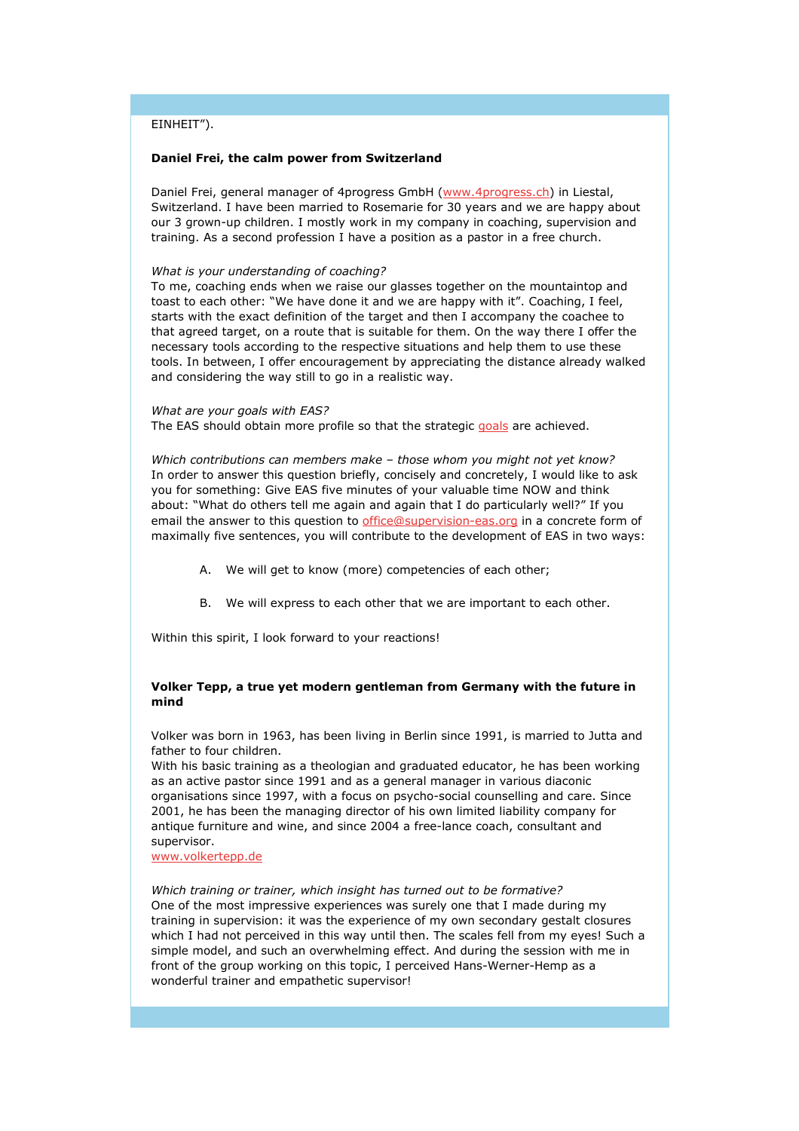### EINHEIT").

#### Daniel Frei, the calm power from Switzerland

Daniel Frei, general manager of 4progress GmbH (www.4progress.ch) in Liestal, Switzerland. I have been married to Rosemarie for 30 years and we are happy about our 3 grown-up children. I mostly work in my company in coaching, supervision and training. As a second profession I have a position as a pastor in a free church.

#### What is your understanding of coaching?

To me, coaching ends when we raise our glasses together on the mountaintop and toast to each other: "We have done it and we are happy with it". Coaching, I feel, starts with the exact definition of the target and then I accompany the coachee to that agreed target, on a route that is suitable for them. On the way there I offer the necessary tools according to the respective situations and help them to use these tools. In between, I offer encouragement by appreciating the distance already walked and considering the way still to go in a realistic way.

#### What are your goals with EAS? The EAS should obtain more profile so that the strategic goals are achieved.

Which contributions can members make – those whom you might not yet know? In order to answer this question briefly, concisely and concretely, I would like to ask you for something: Give EAS five minutes of your valuable time NOW and think about: "What do others tell me again and again that I do particularly well?" If you email the answer to this question to office@supervision-eas.org in a concrete form of maximally five sentences, you will contribute to the development of EAS in two ways:

- A. We will get to know (more) competencies of each other;
- B. We will express to each other that we are important to each other.

Within this spirit, I look forward to your reactions!

### Volker Tepp, a true yet modern gentleman from Germany with the future in mind

Volker was born in 1963, has been living in Berlin since 1991, is married to Jutta and father to four children.

With his basic training as a theologian and graduated educator, he has been working as an active pastor since 1991 and as a general manager in various diaconic organisations since 1997, with a focus on psycho-social counselling and care. Since 2001, he has been the managing director of his own limited liability company for antique furniture and wine, and since 2004 a free-lance coach, consultant and supervisor.

www.volkertepp.de

Which training or trainer, which insight has turned out to be formative?

One of the most impressive experiences was surely one that I made during my training in supervision: it was the experience of my own secondary gestalt closures which I had not perceived in this way until then. The scales fell from my eyes! Such a simple model, and such an overwhelming effect. And during the session with me in front of the group working on this topic, I perceived Hans-Werner-Hemp as a wonderful trainer and empathetic supervisor!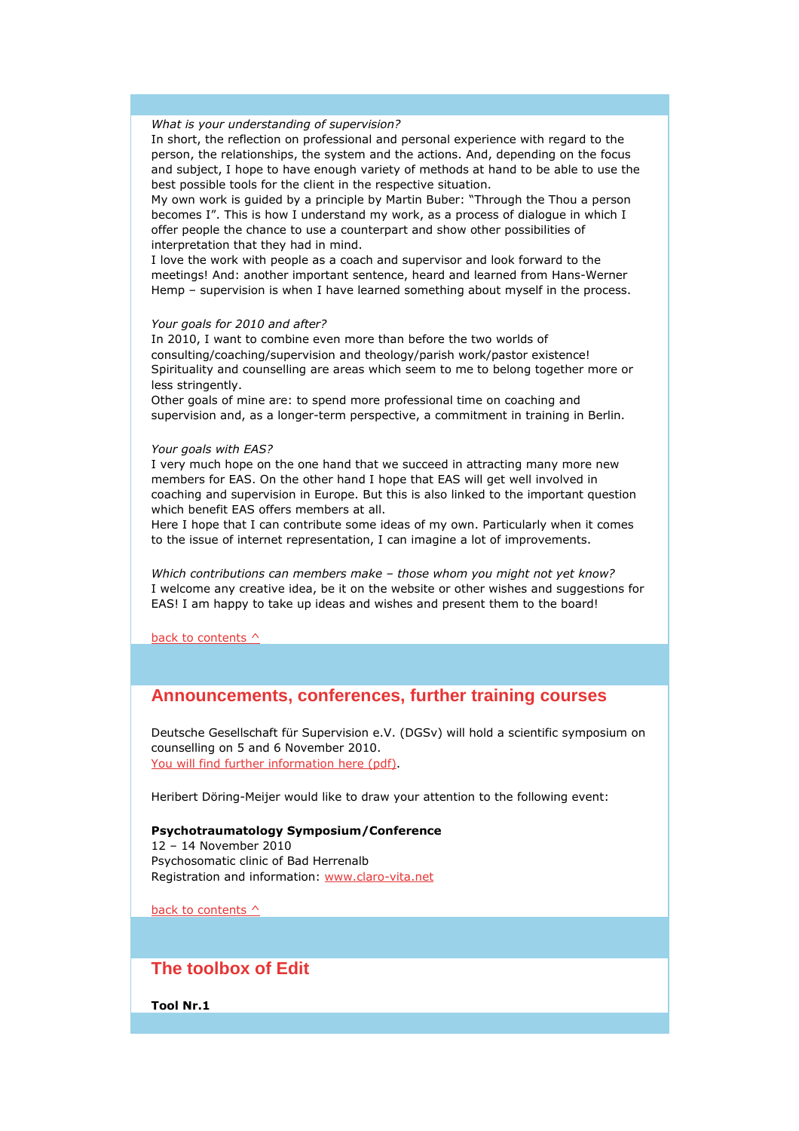### What is your understanding of supervision?

In short, the reflection on professional and personal experience with regard to the person, the relationships, the system and the actions. And, depending on the focus and subject, I hope to have enough variety of methods at hand to be able to use the best possible tools for the client in the respective situation.

My own work is guided by a principle by Martin Buber: "Through the Thou a person becomes I". This is how I understand my work, as a process of dialogue in which I offer people the chance to use a counterpart and show other possibilities of interpretation that they had in mind.

I love the work with people as a coach and supervisor and look forward to the meetings! And: another important sentence, heard and learned from Hans-Werner Hemp – supervision is when I have learned something about myself in the process.

#### Your goals for 2010 and after?

In 2010, I want to combine even more than before the two worlds of consulting/coaching/supervision and theology/parish work/pastor existence! Spirituality and counselling are areas which seem to me to belong together more or less stringently.

Other goals of mine are: to spend more professional time on coaching and supervision and, as a longer-term perspective, a commitment in training in Berlin.

#### Your goals with EAS?

I very much hope on the one hand that we succeed in attracting many more new members for EAS. On the other hand I hope that EAS will get well involved in coaching and supervision in Europe. But this is also linked to the important question which benefit EAS offers members at all.

Here I hope that I can contribute some ideas of my own. Particularly when it comes to the issue of internet representation, I can imagine a lot of improvements.

Which contributions can members make - those whom you might not yet know? I welcome any creative idea, be it on the website or other wishes and suggestions for EAS! I am happy to take up ideas and wishes and present them to the board!

back to contents  $\wedge$ 

### **Announcements, conferences, further training courses**

Deutsche Gesellschaft für Supervision e.V. (DGSv) will hold a scientific symposium on counselling on 5 and 6 November 2010. You will find further information here (pdf).

Heribert Döring-Meijer would like to draw your attention to the following event:

#### Psychotraumatology Symposium/Conference

12 – 14 November 2010 Psychosomatic clinic of Bad Herrenalb Registration and information: www.claro-vita.net

back to contents  $\wedge$ 

### **The toolbox of Edit**

Tool Nr.1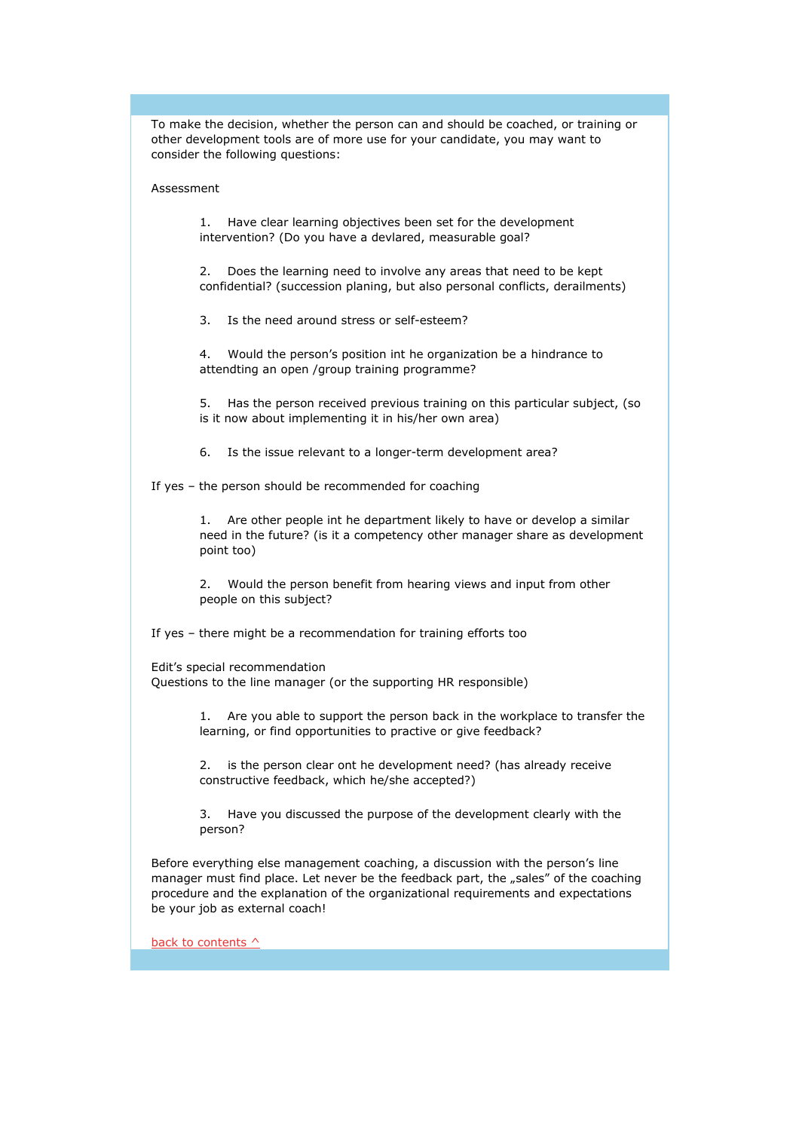To make the decision, whether the person can and should be coached, or training or other development tools are of more use for your candidate, you may want to consider the following questions:

#### Assessment

1. Have clear learning objectives been set for the development intervention? (Do you have a devlared, measurable goal?

2. Does the learning need to involve any areas that need to be kept confidential? (succession planing, but also personal conflicts, derailments)

3. Is the need around stress or self-esteem?

4. Would the person's position int he organization be a hindrance to attendting an open /group training programme?

5. Has the person received previous training on this particular subject, (so is it now about implementing it in his/her own area)

6. Is the issue relevant to a longer-term development area?

If yes – the person should be recommended for coaching

1. Are other people int he department likely to have or develop a similar need in the future? (is it a competency other manager share as development point too)

2. Would the person benefit from hearing views and input from other people on this subject?

If yes – there might be a recommendation for training efforts too

Edit's special recommendation Questions to the line manager (or the supporting HR responsible)

> 1. Are you able to support the person back in the workplace to transfer the learning, or find opportunities to practive or give feedback?

2. is the person clear ont he development need? (has already receive constructive feedback, which he/she accepted?)

3. Have you discussed the purpose of the development clearly with the person?

Before everything else management coaching, a discussion with the person's line manager must find place. Let never be the feedback part, the "sales" of the coaching procedure and the explanation of the organizational requirements and expectations be your job as external coach!

back to contents  $\wedge$